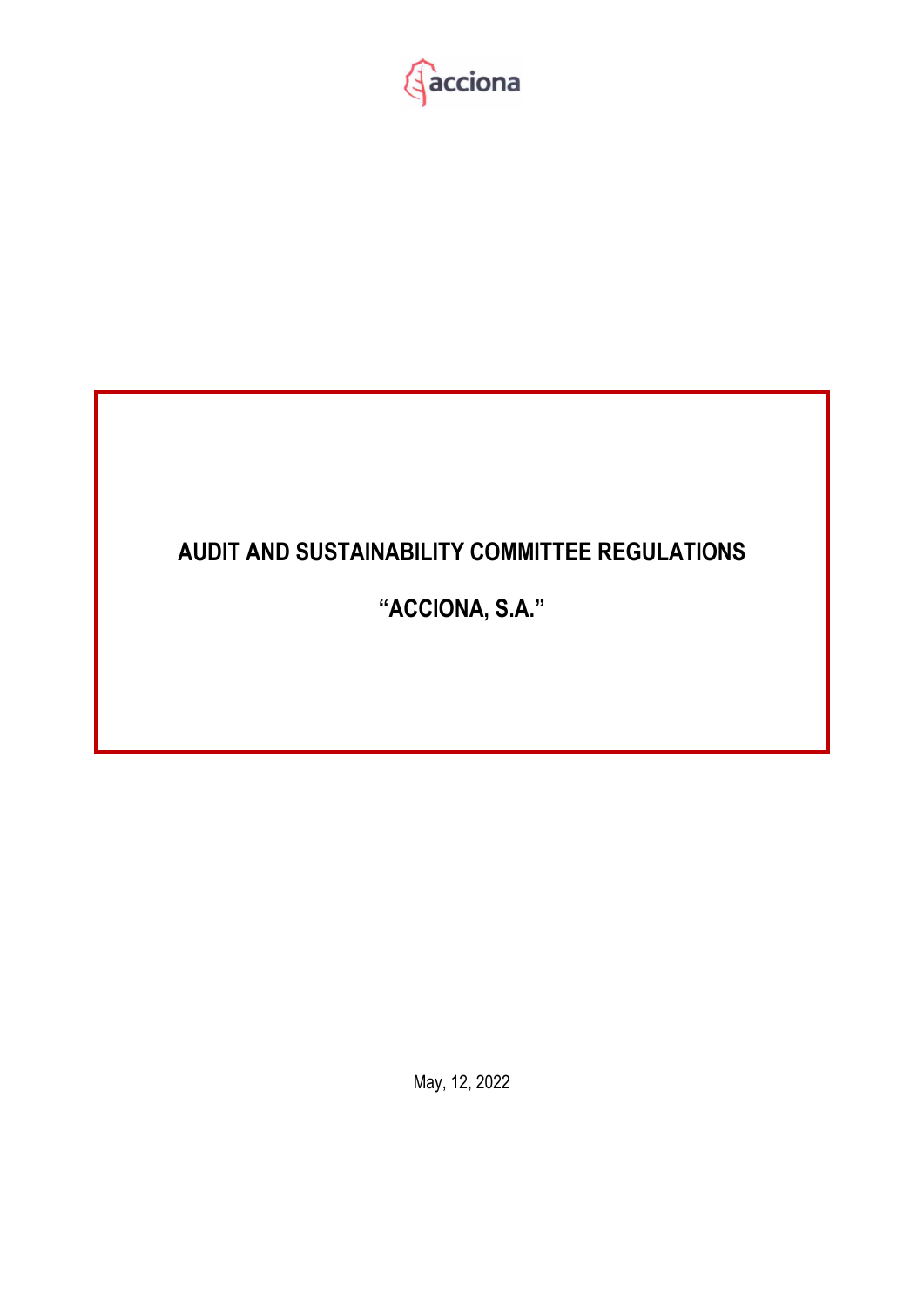

# **AUDIT AND SUSTAINABILITY COMMITTEE REGULATIONS**

# **"ACCIONA, S.A."**

May, 12, 2022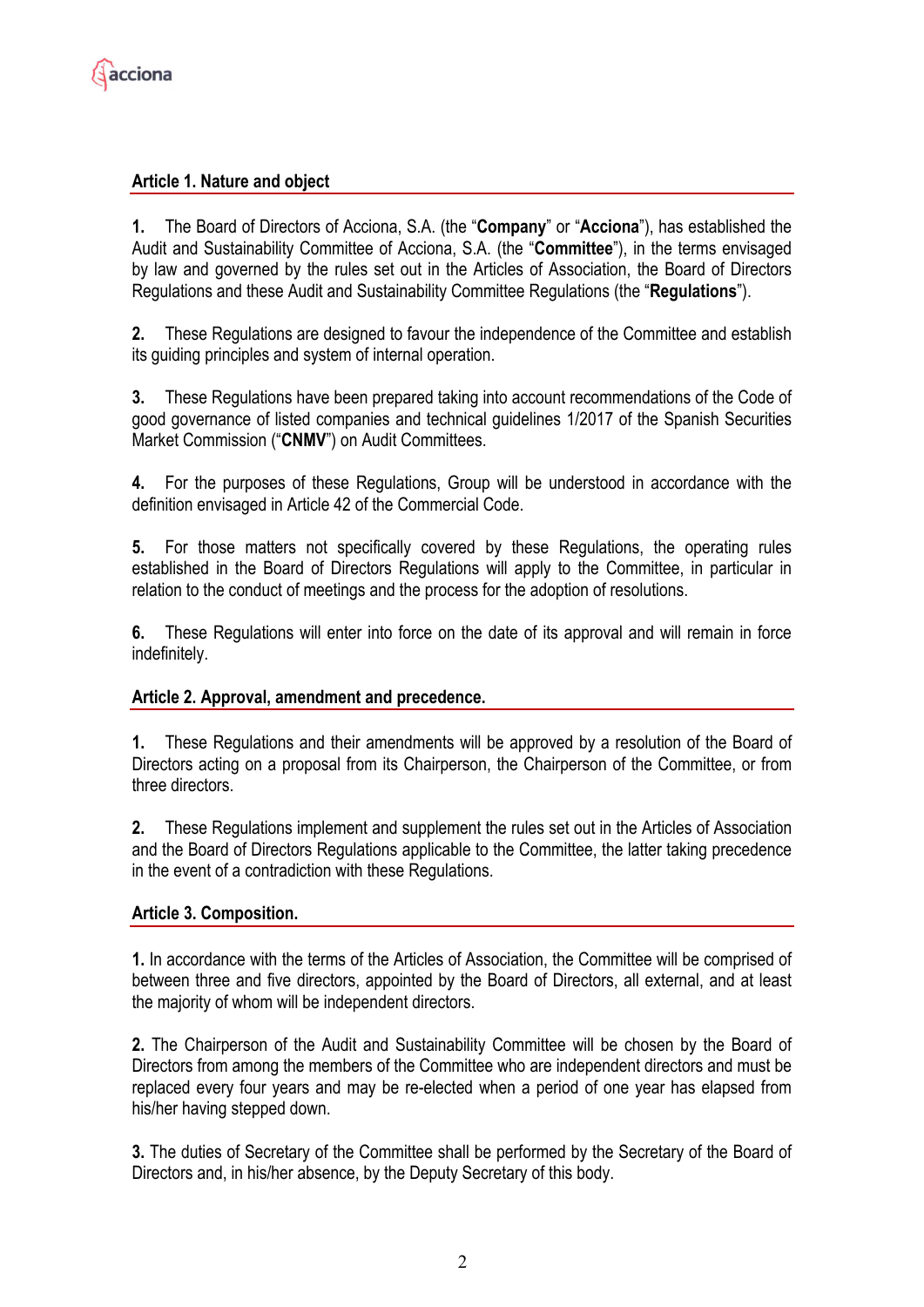

### **Article 1. Nature and object**

**1.** The Board of Directors of Acciona, S.A. (the "**Company**" or "**Acciona**"), has established the Audit and Sustainability Committee of Acciona, S.A. (the "**Committee**"), in the terms envisaged by law and governed by the rules set out in the Articles of Association, the Board of Directors Regulations and these Audit and Sustainability Committee Regulations (the "**Regulations**").

**2.** These Regulations are designed to favour the independence of the Committee and establish its guiding principles and system of internal operation.

**3.** These Regulations have been prepared taking into account recommendations of the Code of good governance of listed companies and technical guidelines 1/2017 of the Spanish Securities Market Commission ("**CNMV**") on Audit Committees.

**4.** For the purposes of these Regulations, Group will be understood in accordance with the definition envisaged in Article 42 of the Commercial Code.

**5.** For those matters not specifically covered by these Regulations, the operating rules established in the Board of Directors Regulations will apply to the Committee, in particular in relation to the conduct of meetings and the process for the adoption of resolutions.

**6.** These Regulations will enter into force on the date of its approval and will remain in force indefinitely.

#### **Article 2. Approval, amendment and precedence.**

**1.** These Regulations and their amendments will be approved by a resolution of the Board of Directors acting on a proposal from its Chairperson, the Chairperson of the Committee, or from three directors.

**2.** These Regulations implement and supplement the rules set out in the Articles of Association and the Board of Directors Regulations applicable to the Committee, the latter taking precedence in the event of a contradiction with these Regulations.

#### **Article 3. Composition.**

**1.** In accordance with the terms of the Articles of Association, the Committee will be comprised of between three and five directors, appointed by the Board of Directors, all external, and at least the majority of whom will be independent directors.

**2.** The Chairperson of the Audit and Sustainability Committee will be chosen by the Board of Directors from among the members of the Committee who are independent directors and must be replaced every four years and may be re-elected when a period of one year has elapsed from his/her having stepped down.

**3.** The duties of Secretary of the Committee shall be performed by the Secretary of the Board of Directors and, in his/her absence, by the Deputy Secretary of this body.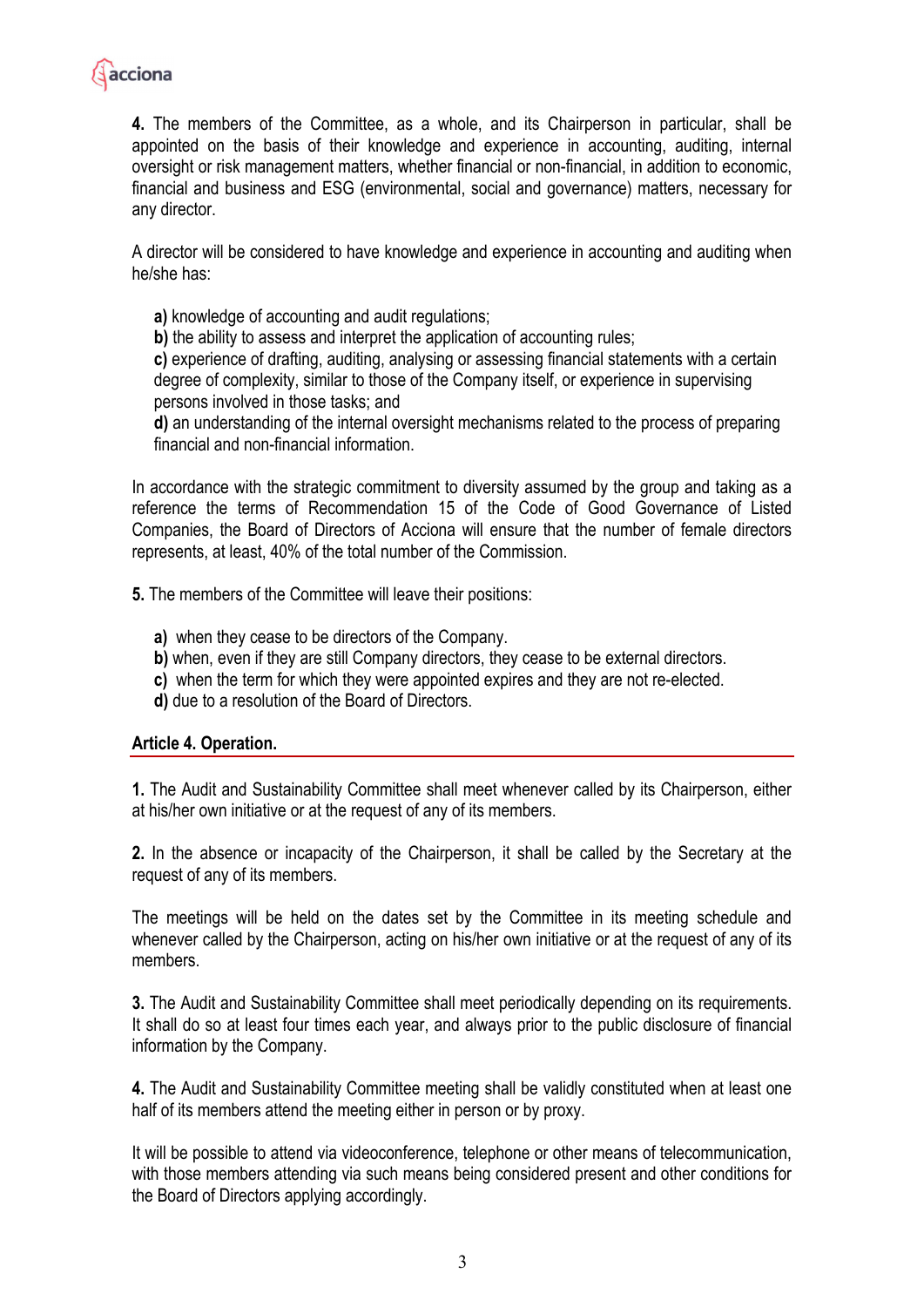

**4.** The members of the Committee, as a whole, and its Chairperson in particular, shall be appointed on the basis of their knowledge and experience in accounting, auditing, internal oversight or risk management matters, whether financial or non-financial, in addition to economic, financial and business and ESG (environmental, social and governance) matters, necessary for any director.

A director will be considered to have knowledge and experience in accounting and auditing when he/she has:

**a)** knowledge of accounting and audit regulations;

**b)** the ability to assess and interpret the application of accounting rules;

**c)** experience of drafting, auditing, analysing or assessing financial statements with a certain degree of complexity, similar to those of the Company itself, or experience in supervising persons involved in those tasks; and

**d)** an understanding of the internal oversight mechanisms related to the process of preparing financial and non-financial information.

In accordance with the strategic commitment to diversity assumed by the group and taking as a reference the terms of Recommendation 15 of the Code of Good Governance of Listed Companies, the Board of Directors of Acciona will ensure that the number of female directors represents, at least, 40% of the total number of the Commission.

**5.** The members of the Committee will leave their positions:

- **a)** when they cease to be directors of the Company.
- **b)** when, even if they are still Company directors, they cease to be external directors.
- **c)** when the term for which they were appointed expires and they are not re-elected.
- **d)** due to a resolution of the Board of Directors.

#### **Article 4. Operation.**

**1.** The Audit and Sustainability Committee shall meet whenever called by its Chairperson, either at his/her own initiative or at the request of any of its members.

**2.** In the absence or incapacity of the Chairperson, it shall be called by the Secretary at the request of any of its members.

The meetings will be held on the dates set by the Committee in its meeting schedule and whenever called by the Chairperson, acting on his/her own initiative or at the request of any of its members.

**3.** The Audit and Sustainability Committee shall meet periodically depending on its requirements. It shall do so at least four times each year, and always prior to the public disclosure of financial information by the Company.

**4.** The Audit and Sustainability Committee meeting shall be validly constituted when at least one half of its members attend the meeting either in person or by proxy.

It will be possible to attend via videoconference, telephone or other means of telecommunication, with those members attending via such means being considered present and other conditions for the Board of Directors applying accordingly.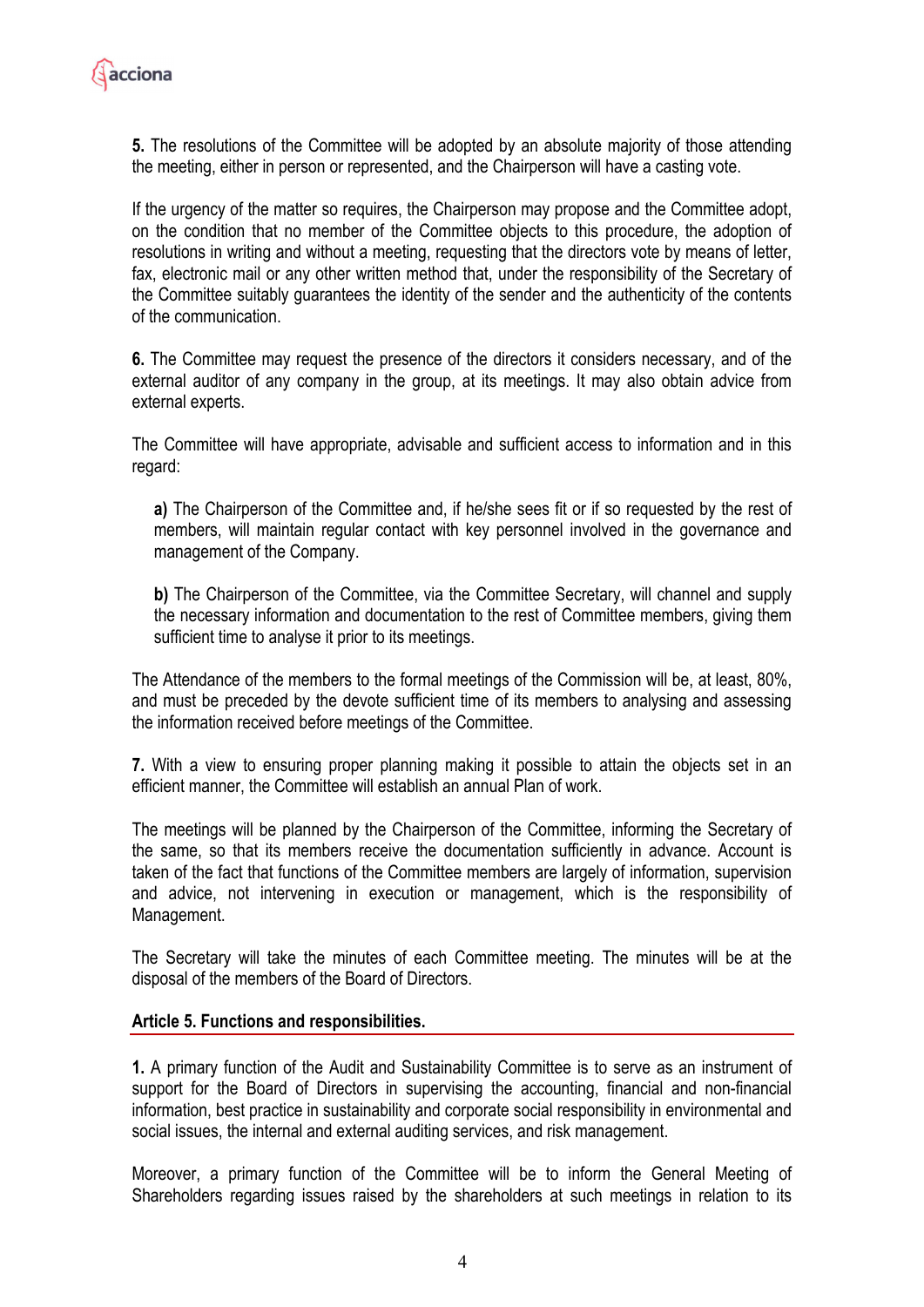

**5.** The resolutions of the Committee will be adopted by an absolute majority of those attending the meeting, either in person or represented, and the Chairperson will have a casting vote.

If the urgency of the matter so requires, the Chairperson may propose and the Committee adopt, on the condition that no member of the Committee objects to this procedure, the adoption of resolutions in writing and without a meeting, requesting that the directors vote by means of letter, fax, electronic mail or any other written method that, under the responsibility of the Secretary of the Committee suitably guarantees the identity of the sender and the authenticity of the contents of the communication.

**6.** The Committee may request the presence of the directors it considers necessary, and of the external auditor of any company in the group, at its meetings. It may also obtain advice from external experts.

The Committee will have appropriate, advisable and sufficient access to information and in this regard:

**a)** The Chairperson of the Committee and, if he/she sees fit or if so requested by the rest of members, will maintain regular contact with key personnel involved in the governance and management of the Company.

**b)** The Chairperson of the Committee, via the Committee Secretary, will channel and supply the necessary information and documentation to the rest of Committee members, giving them sufficient time to analyse it prior to its meetings.

The Attendance of the members to the formal meetings of the Commission will be, at least, 80%, and must be preceded by the devote sufficient time of its members to analysing and assessing the information received before meetings of the Committee.

**7.** With a view to ensuring proper planning making it possible to attain the objects set in an efficient manner, the Committee will establish an annual Plan of work.

The meetings will be planned by the Chairperson of the Committee, informing the Secretary of the same, so that its members receive the documentation sufficiently in advance. Account is taken of the fact that functions of the Committee members are largely of information, supervision and advice, not intervening in execution or management, which is the responsibility of Management.

The Secretary will take the minutes of each Committee meeting. The minutes will be at the disposal of the members of the Board of Directors.

#### **Article 5. Functions and responsibilities.**

**1.** A primary function of the Audit and Sustainability Committee is to serve as an instrument of support for the Board of Directors in supervising the accounting, financial and non-financial information, best practice in sustainability and corporate social responsibility in environmental and social issues, the internal and external auditing services, and risk management.

Moreover, a primary function of the Committee will be to inform the General Meeting of Shareholders regarding issues raised by the shareholders at such meetings in relation to its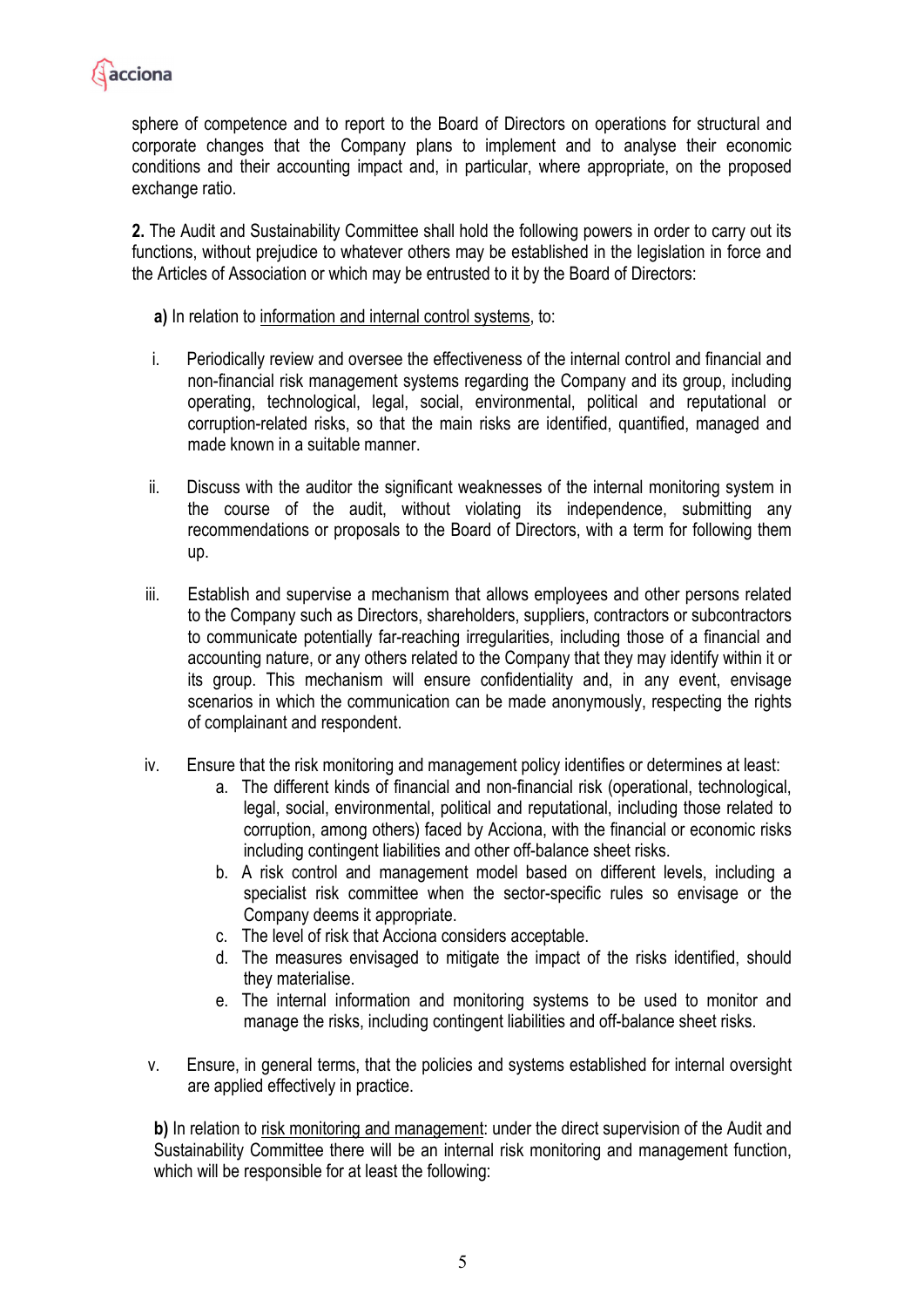

sphere of competence and to report to the Board of Directors on operations for structural and corporate changes that the Company plans to implement and to analyse their economic conditions and their accounting impact and, in particular, where appropriate, on the proposed exchange ratio.

**2.** The Audit and Sustainability Committee shall hold the following powers in order to carry out its functions, without prejudice to whatever others may be established in the legislation in force and the Articles of Association or which may be entrusted to it by the Board of Directors:

**a)** In relation to information and internal control systems, to:

- i. Periodically review and oversee the effectiveness of the internal control and financial and non-financial risk management systems regarding the Company and its group, including operating, technological, legal, social, environmental, political and reputational or corruption-related risks, so that the main risks are identified, quantified, managed and made known in a suitable manner.
- ii. Discuss with the auditor the significant weaknesses of the internal monitoring system in the course of the audit, without violating its independence, submitting any recommendations or proposals to the Board of Directors, with a term for following them up.
- iii. Establish and supervise a mechanism that allows employees and other persons related to the Company such as Directors, shareholders, suppliers, contractors or subcontractors to communicate potentially far-reaching irregularities, including those of a financial and accounting nature, or any others related to the Company that they may identify within it or its group. This mechanism will ensure confidentiality and, in any event, envisage scenarios in which the communication can be made anonymously, respecting the rights of complainant and respondent.
- iv. Ensure that the risk monitoring and management policy identifies or determines at least:
	- a. The different kinds of financial and non-financial risk (operational, technological, legal, social, environmental, political and reputational, including those related to corruption, among others) faced by Acciona, with the financial or economic risks including contingent liabilities and other off-balance sheet risks.
	- b. A risk control and management model based on different levels, including a specialist risk committee when the sector-specific rules so envisage or the Company deems it appropriate.
	- c. The level of risk that Acciona considers acceptable.
	- d. The measures envisaged to mitigate the impact of the risks identified, should they materialise.
	- e. The internal information and monitoring systems to be used to monitor and manage the risks, including contingent liabilities and off-balance sheet risks.
- v. Ensure, in general terms, that the policies and systems established for internal oversight are applied effectively in practice.

**b)** In relation to risk monitoring and management: under the direct supervision of the Audit and Sustainability Committee there will be an internal risk monitoring and management function, which will be responsible for at least the following: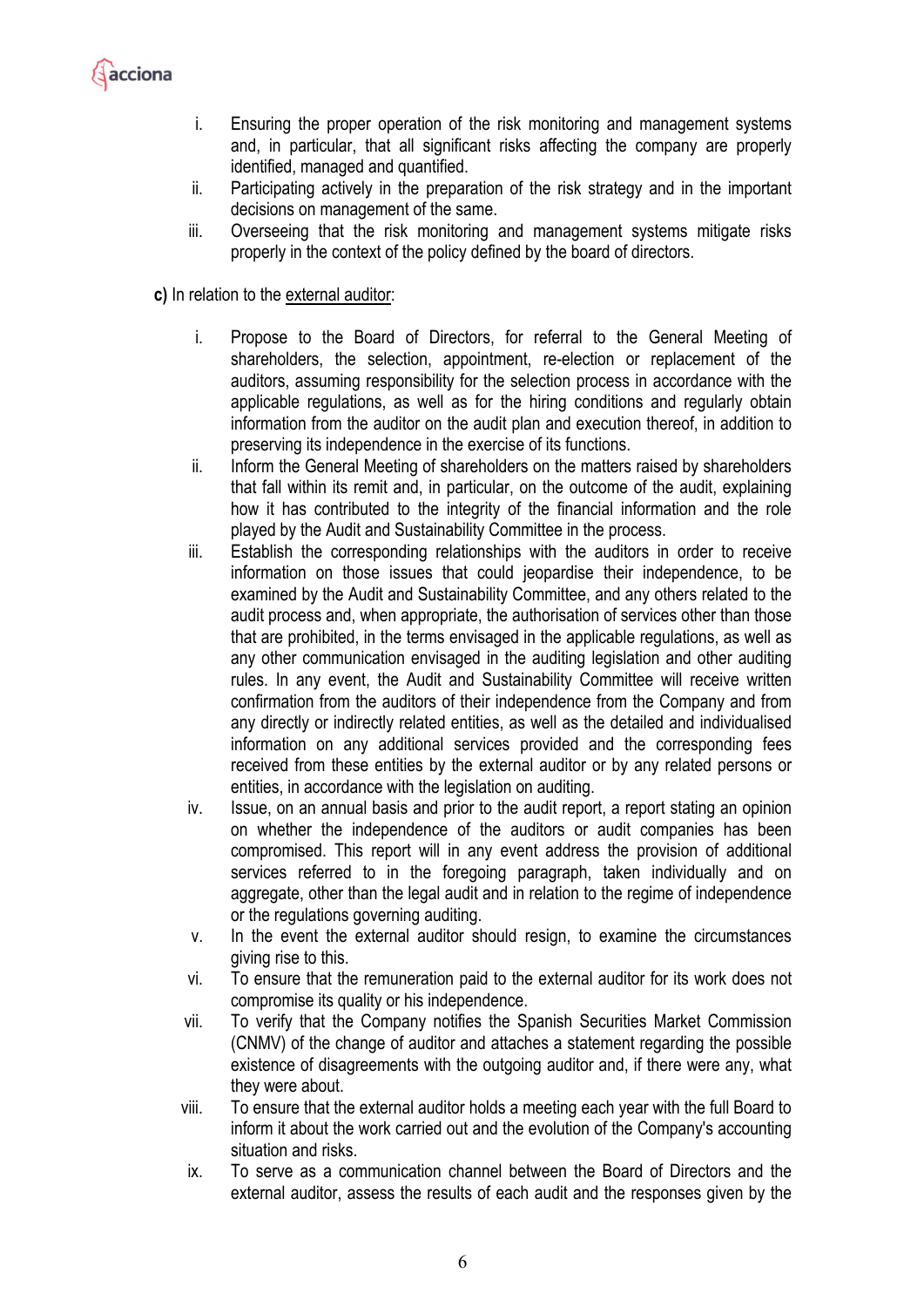

- i. Ensuring the proper operation of the risk monitoring and management systems and, in particular, that all significant risks affecting the company are properly identified, managed and quantified.
- ii. Participating actively in the preparation of the risk strategy and in the important decisions on management of the same.
- iii. Overseeing that the risk monitoring and management systems mitigate risks properly in the context of the policy defined by the board of directors.
- **c)** In relation to the external auditor:
	- i. Propose to the Board of Directors, for referral to the General Meeting of shareholders, the selection, appointment, re-election or replacement of the auditors, assuming responsibility for the selection process in accordance with the applicable regulations, as well as for the hiring conditions and regularly obtain information from the auditor on the audit plan and execution thereof, in addition to preserving its independence in the exercise of its functions.
	- ii. Inform the General Meeting of shareholders on the matters raised by shareholders that fall within its remit and, in particular, on the outcome of the audit, explaining how it has contributed to the integrity of the financial information and the role played by the Audit and Sustainability Committee in the process.
	- iii. Establish the corresponding relationships with the auditors in order to receive information on those issues that could jeopardise their independence, to be examined by the Audit and Sustainability Committee, and any others related to the audit process and, when appropriate, the authorisation of services other than those that are prohibited, in the terms envisaged in the applicable regulations, as well as any other communication envisaged in the auditing legislation and other auditing rules. In any event, the Audit and Sustainability Committee will receive written confirmation from the auditors of their independence from the Company and from any directly or indirectly related entities, as well as the detailed and individualised information on any additional services provided and the corresponding fees received from these entities by the external auditor or by any related persons or entities, in accordance with the legislation on auditing.
	- iv. Issue, on an annual basis and prior to the audit report, a report stating an opinion on whether the independence of the auditors or audit companies has been compromised. This report will in any event address the provision of additional services referred to in the foregoing paragraph, taken individually and on aggregate, other than the legal audit and in relation to the regime of independence or the regulations governing auditing.
	- v. In the event the external auditor should resign, to examine the circumstances giving rise to this.
	- vi. To ensure that the remuneration paid to the external auditor for its work does not compromise its quality or his independence.
	- vii. To verify that the Company notifies the Spanish Securities Market Commission (CNMV) of the change of auditor and attaches a statement regarding the possible existence of disagreements with the outgoing auditor and, if there were any, what they were about.
	- viii. To ensure that the external auditor holds a meeting each year with the full Board to inform it about the work carried out and the evolution of the Company's accounting situation and risks.
	- ix. To serve as a communication channel between the Board of Directors and the external auditor, assess the results of each audit and the responses given by the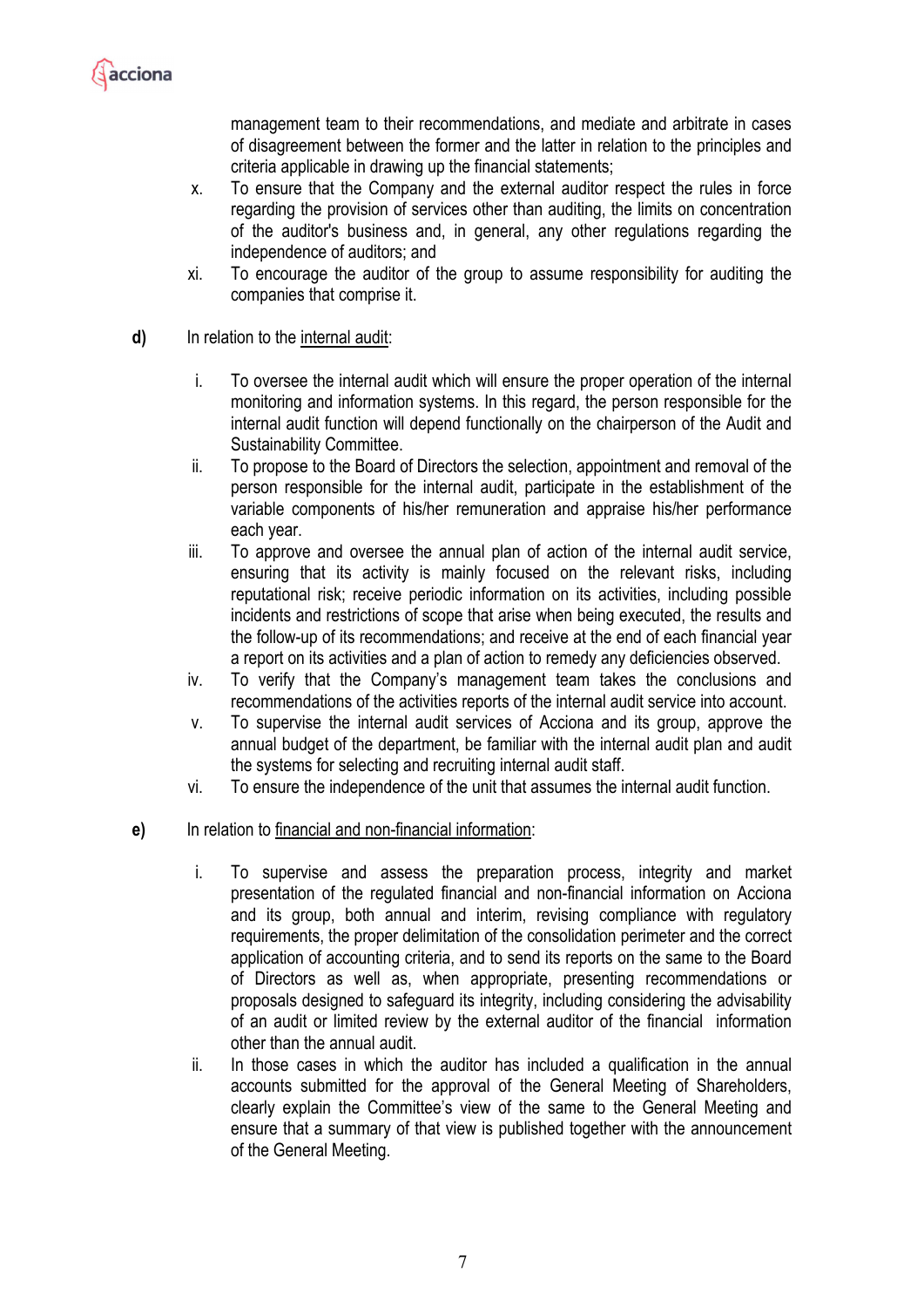

management team to their recommendations, and mediate and arbitrate in cases of disagreement between the former and the latter in relation to the principles and criteria applicable in drawing up the financial statements;

- x. To ensure that the Company and the external auditor respect the rules in force regarding the provision of services other than auditing, the limits on concentration of the auditor's business and, in general, any other regulations regarding the independence of auditors; and
- xi. To encourage the auditor of the group to assume responsibility for auditing the companies that comprise it.
- **d)** In relation to the internal audit:
	- i. To oversee the internal audit which will ensure the proper operation of the internal monitoring and information systems. In this regard, the person responsible for the internal audit function will depend functionally on the chairperson of the Audit and Sustainability Committee.
	- ii. To propose to the Board of Directors the selection, appointment and removal of the person responsible for the internal audit, participate in the establishment of the variable components of his/her remuneration and appraise his/her performance each year.
	- iii. To approve and oversee the annual plan of action of the internal audit service, ensuring that its activity is mainly focused on the relevant risks, including reputational risk; receive periodic information on its activities, including possible incidents and restrictions of scope that arise when being executed, the results and the follow-up of its recommendations; and receive at the end of each financial year a report on its activities and a plan of action to remedy any deficiencies observed.
	- iv. To verify that the Company's management team takes the conclusions and recommendations of the activities reports of the internal audit service into account.
	- v. To supervise the internal audit services of Acciona and its group, approve the annual budget of the department, be familiar with the internal audit plan and audit the systems for selecting and recruiting internal audit staff.
	- vi. To ensure the independence of the unit that assumes the internal audit function.
- **e)** In relation to financial and non-financial information:
	- i. To supervise and assess the preparation process, integrity and market presentation of the regulated financial and non-financial information on Acciona and its group, both annual and interim, revising compliance with regulatory requirements, the proper delimitation of the consolidation perimeter and the correct application of accounting criteria, and to send its reports on the same to the Board of Directors as well as, when appropriate, presenting recommendations or proposals designed to safeguard its integrity, including considering the advisability of an audit or limited review by the external auditor of the financial information other than the annual audit.
	- ii. In those cases in which the auditor has included a qualification in the annual accounts submitted for the approval of the General Meeting of Shareholders, clearly explain the Committee's view of the same to the General Meeting and ensure that a summary of that view is published together with the announcement of the General Meeting.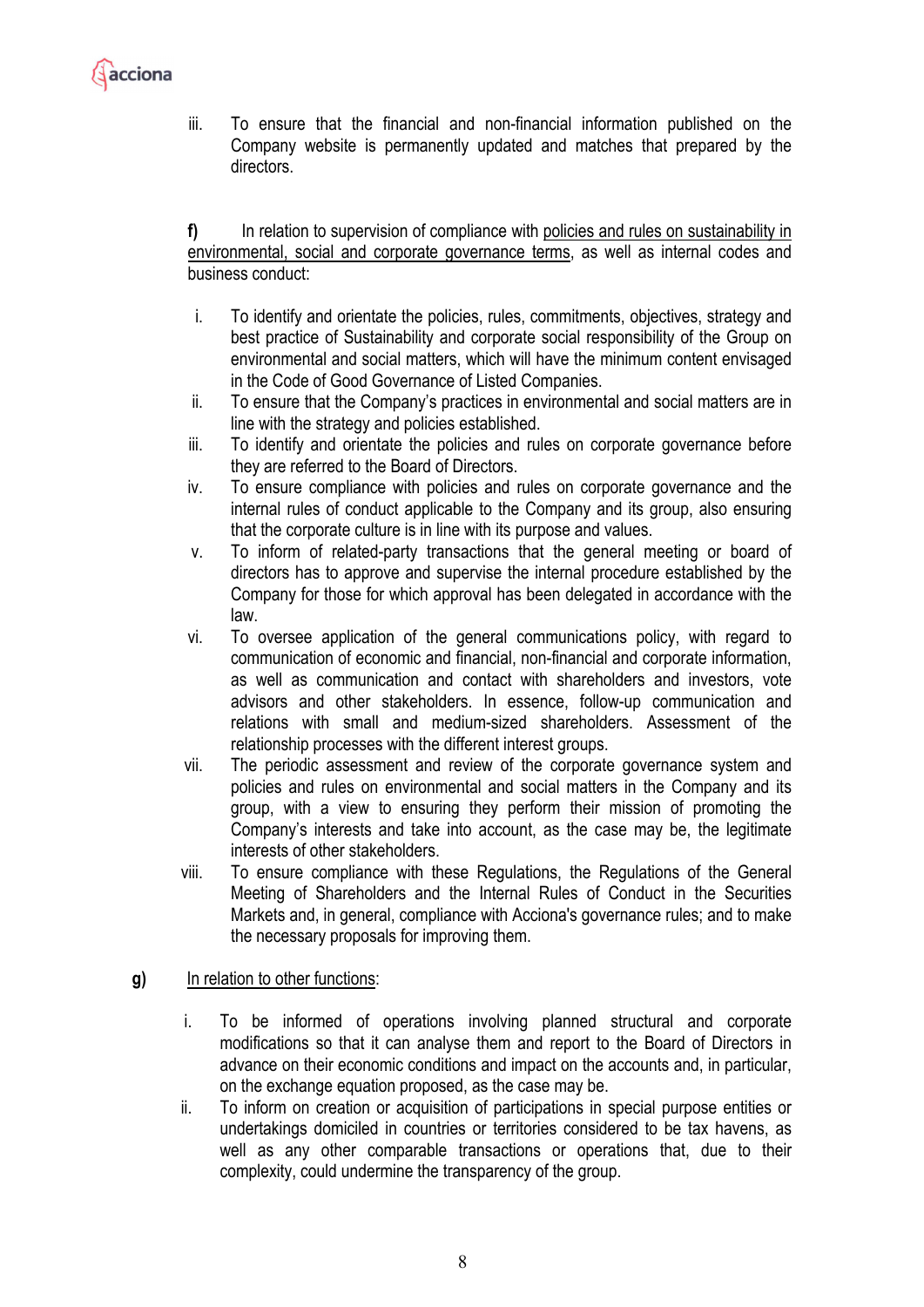

iii. To ensure that the financial and non-financial information published on the Company website is permanently updated and matches that prepared by the directors.

**f)** In relation to supervision of compliance with policies and rules on sustainability in environmental, social and corporate governance terms, as well as internal codes and business conduct:

- i. To identify and orientate the policies, rules, commitments, objectives, strategy and best practice of Sustainability and corporate social responsibility of the Group on environmental and social matters, which will have the minimum content envisaged in the Code of Good Governance of Listed Companies.
- ii. To ensure that the Company's practices in environmental and social matters are in line with the strategy and policies established.
- iii. To identify and orientate the policies and rules on corporate governance before they are referred to the Board of Directors.
- iv. To ensure compliance with policies and rules on corporate governance and the internal rules of conduct applicable to the Company and its group, also ensuring that the corporate culture is in line with its purpose and values.
- v. To inform of related-party transactions that the general meeting or board of directors has to approve and supervise the internal procedure established by the Company for those for which approval has been delegated in accordance with the law.
- vi. To oversee application of the general communications policy, with regard to communication of economic and financial, non-financial and corporate information, as well as communication and contact with shareholders and investors, vote advisors and other stakeholders. In essence, follow-up communication and relations with small and medium-sized shareholders. Assessment of the relationship processes with the different interest groups.
- vii. The periodic assessment and review of the corporate governance system and policies and rules on environmental and social matters in the Company and its group, with a view to ensuring they perform their mission of promoting the Company's interests and take into account, as the case may be, the legitimate interests of other stakeholders.
- viii. To ensure compliance with these Regulations, the Regulations of the General Meeting of Shareholders and the Internal Rules of Conduct in the Securities Markets and, in general, compliance with Acciona's governance rules; and to make the necessary proposals for improving them.

#### **g)** In relation to other functions:

- i. To be informed of operations involving planned structural and corporate modifications so that it can analyse them and report to the Board of Directors in advance on their economic conditions and impact on the accounts and, in particular, on the exchange equation proposed, as the case may be.
- ii. To inform on creation or acquisition of participations in special purpose entities or undertakings domiciled in countries or territories considered to be tax havens, as well as any other comparable transactions or operations that, due to their complexity, could undermine the transparency of the group.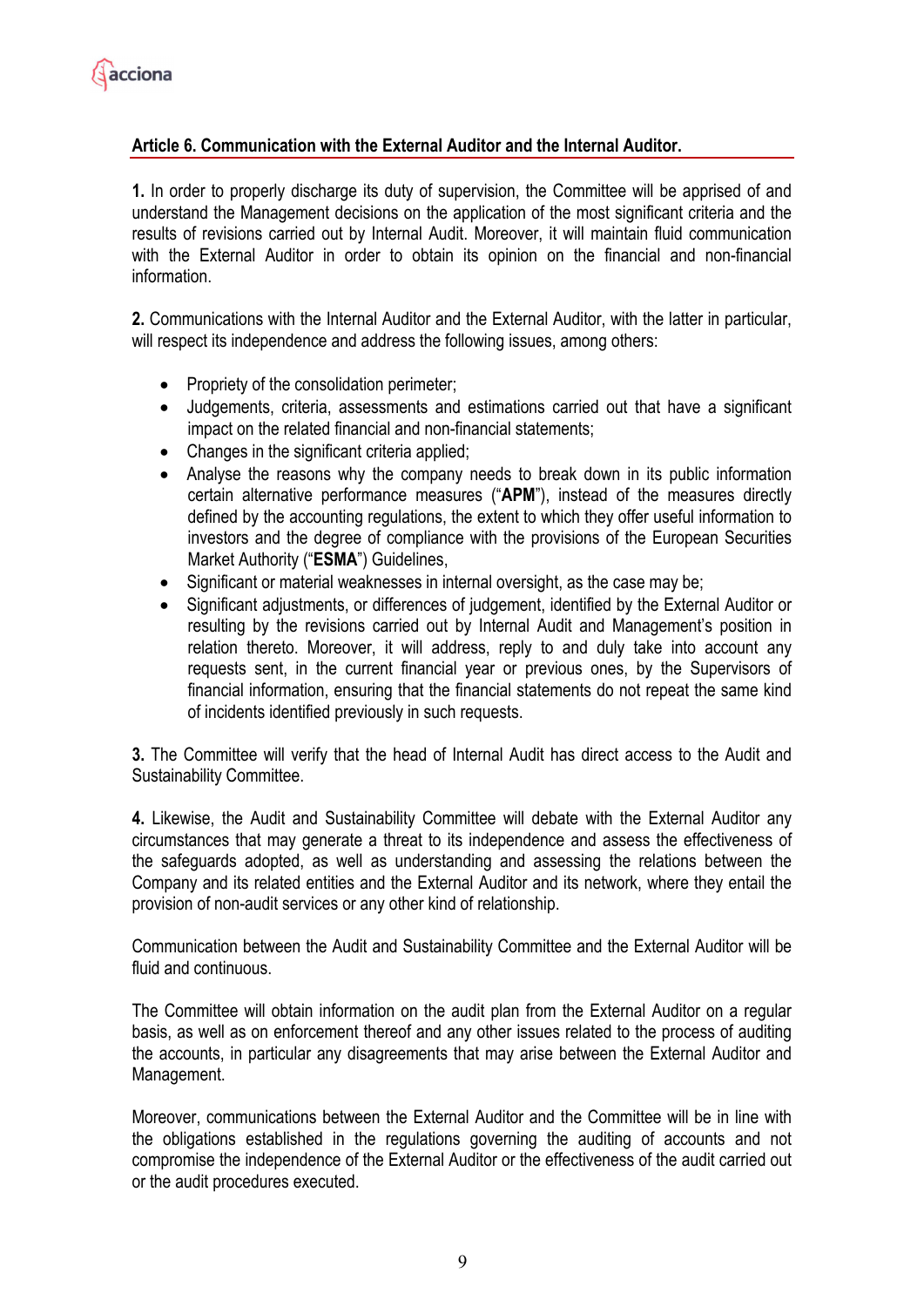# **Article 6. Communication with the External Auditor and the Internal Auditor.**

**1.** In order to properly discharge its duty of supervision, the Committee will be apprised of and understand the Management decisions on the application of the most significant criteria and the results of revisions carried out by Internal Audit. Moreover, it will maintain fluid communication with the External Auditor in order to obtain its opinion on the financial and non-financial information.

**2.** Communications with the Internal Auditor and the External Auditor, with the latter in particular, will respect its independence and address the following issues, among others:

- Propriety of the consolidation perimeter;
- Judgements, criteria, assessments and estimations carried out that have a significant impact on the related financial and non-financial statements;
- Changes in the significant criteria applied;
- Analyse the reasons why the company needs to break down in its public information certain alternative performance measures ("**APM**"), instead of the measures directly defined by the accounting regulations, the extent to which they offer useful information to investors and the degree of compliance with the provisions of the European Securities Market Authority ("**ESMA**") Guidelines,
- Significant or material weaknesses in internal oversight, as the case may be;
- Significant adjustments, or differences of judgement, identified by the External Auditor or resulting by the revisions carried out by Internal Audit and Management's position in relation thereto. Moreover, it will address, reply to and duly take into account any requests sent, in the current financial year or previous ones, by the Supervisors of financial information, ensuring that the financial statements do not repeat the same kind of incidents identified previously in such requests.

**3.** The Committee will verify that the head of Internal Audit has direct access to the Audit and Sustainability Committee.

**4.** Likewise, the Audit and Sustainability Committee will debate with the External Auditor any circumstances that may generate a threat to its independence and assess the effectiveness of the safeguards adopted, as well as understanding and assessing the relations between the Company and its related entities and the External Auditor and its network, where they entail the provision of non-audit services or any other kind of relationship.

Communication between the Audit and Sustainability Committee and the External Auditor will be fluid and continuous.

The Committee will obtain information on the audit plan from the External Auditor on a regular basis, as well as on enforcement thereof and any other issues related to the process of auditing the accounts, in particular any disagreements that may arise between the External Auditor and Management.

Moreover, communications between the External Auditor and the Committee will be in line with the obligations established in the regulations governing the auditing of accounts and not compromise the independence of the External Auditor or the effectiveness of the audit carried out or the audit procedures executed.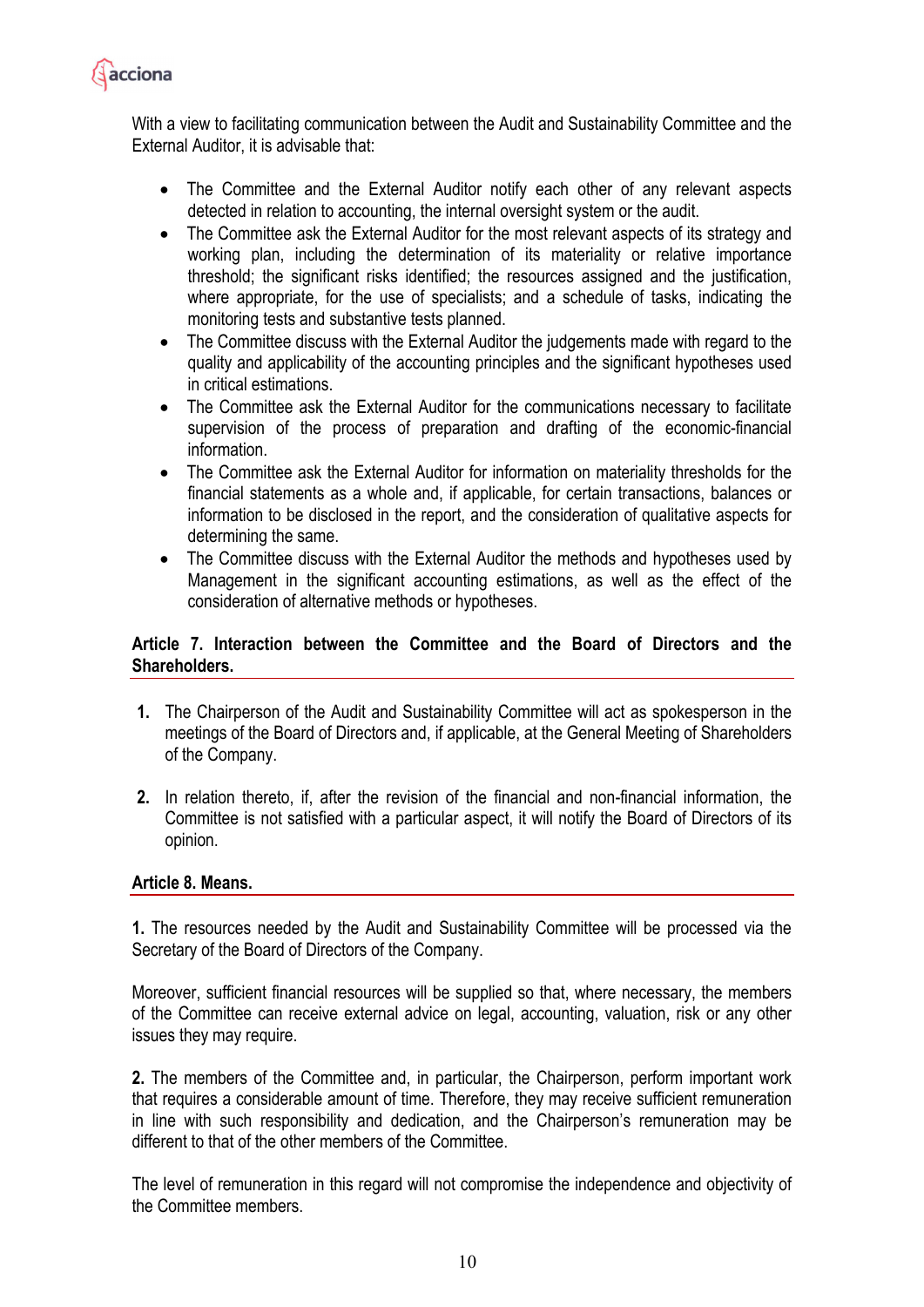

With a view to facilitating communication between the Audit and Sustainability Committee and the External Auditor, it is advisable that:

- The Committee and the External Auditor notify each other of any relevant aspects detected in relation to accounting, the internal oversight system or the audit.
- The Committee ask the External Auditor for the most relevant aspects of its strategy and working plan, including the determination of its materiality or relative importance threshold; the significant risks identified; the resources assigned and the justification, where appropriate, for the use of specialists; and a schedule of tasks, indicating the monitoring tests and substantive tests planned.
- The Committee discuss with the External Auditor the judgements made with regard to the quality and applicability of the accounting principles and the significant hypotheses used in critical estimations.
- The Committee ask the External Auditor for the communications necessary to facilitate supervision of the process of preparation and drafting of the economic-financial information.
- The Committee ask the External Auditor for information on materiality thresholds for the financial statements as a whole and, if applicable, for certain transactions, balances or information to be disclosed in the report, and the consideration of qualitative aspects for determining the same.
- The Committee discuss with the External Auditor the methods and hypotheses used by Management in the significant accounting estimations, as well as the effect of the consideration of alternative methods or hypotheses.

# **Article 7. Interaction between the Committee and the Board of Directors and the Shareholders.**

- **1.** The Chairperson of the Audit and Sustainability Committee will act as spokesperson in the meetings of the Board of Directors and, if applicable, at the General Meeting of Shareholders of the Company.
- **2.** In relation thereto, if, after the revision of the financial and non-financial information, the Committee is not satisfied with a particular aspect, it will notify the Board of Directors of its opinion.

# **Article 8. Means.**

**1.** The resources needed by the Audit and Sustainability Committee will be processed via the Secretary of the Board of Directors of the Company.

Moreover, sufficient financial resources will be supplied so that, where necessary, the members of the Committee can receive external advice on legal, accounting, valuation, risk or any other issues they may require.

**2.** The members of the Committee and, in particular, the Chairperson, perform important work that requires a considerable amount of time. Therefore, they may receive sufficient remuneration in line with such responsibility and dedication, and the Chairperson's remuneration may be different to that of the other members of the Committee.

The level of remuneration in this regard will not compromise the independence and objectivity of the Committee members.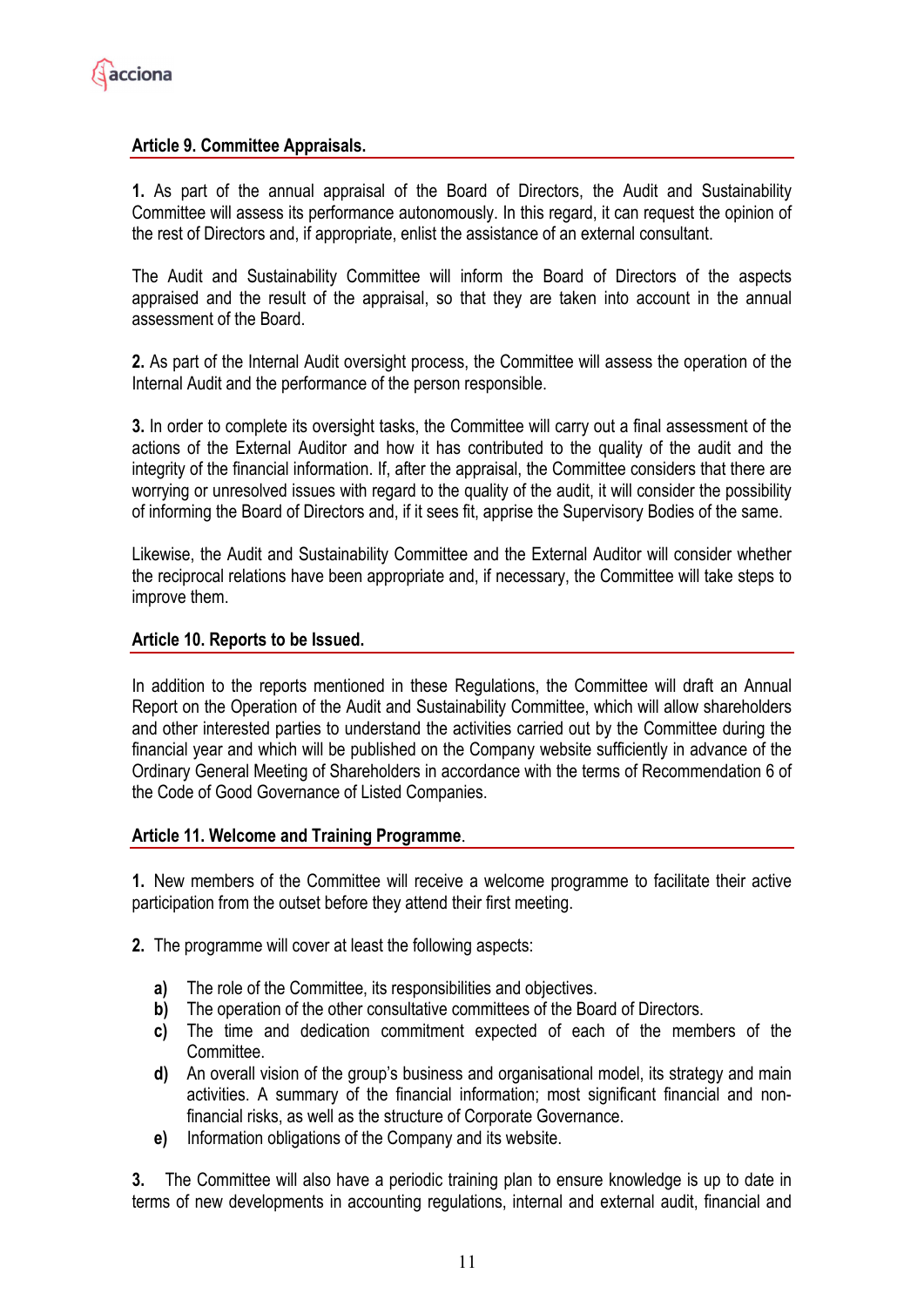# **Article 9. Committee Appraisals.**

**1.** As part of the annual appraisal of the Board of Directors, the Audit and Sustainability Committee will assess its performance autonomously. In this regard, it can request the opinion of the rest of Directors and, if appropriate, enlist the assistance of an external consultant.

The Audit and Sustainability Committee will inform the Board of Directors of the aspects appraised and the result of the appraisal, so that they are taken into account in the annual assessment of the Board.

**2.** As part of the Internal Audit oversight process, the Committee will assess the operation of the Internal Audit and the performance of the person responsible.

**3.** In order to complete its oversight tasks, the Committee will carry out a final assessment of the actions of the External Auditor and how it has contributed to the quality of the audit and the integrity of the financial information. If, after the appraisal, the Committee considers that there are worrying or unresolved issues with regard to the quality of the audit, it will consider the possibility of informing the Board of Directors and, if it sees fit, apprise the Supervisory Bodies of the same.

Likewise, the Audit and Sustainability Committee and the External Auditor will consider whether the reciprocal relations have been appropriate and, if necessary, the Committee will take steps to improve them.

#### **Article 10. Reports to be Issued.**

In addition to the reports mentioned in these Regulations, the Committee will draft an Annual Report on the Operation of the Audit and Sustainability Committee, which will allow shareholders and other interested parties to understand the activities carried out by the Committee during the financial year and which will be published on the Company website sufficiently in advance of the Ordinary General Meeting of Shareholders in accordance with the terms of Recommendation 6 of the Code of Good Governance of Listed Companies.

#### **Article 11. Welcome and Training Programme**.

**1.** New members of the Committee will receive a welcome programme to facilitate their active participation from the outset before they attend their first meeting.

- **2.** The programme will cover at least the following aspects:
	- **a)** The role of the Committee, its responsibilities and objectives.
	- **b)** The operation of the other consultative committees of the Board of Directors.
	- **c)** The time and dedication commitment expected of each of the members of the Committee.
	- **d)** An overall vision of the group's business and organisational model, its strategy and main activities. A summary of the financial information; most significant financial and nonfinancial risks, as well as the structure of Corporate Governance.
	- **e)** Information obligations of the Company and its website.

**3.** The Committee will also have a periodic training plan to ensure knowledge is up to date in terms of new developments in accounting regulations, internal and external audit, financial and